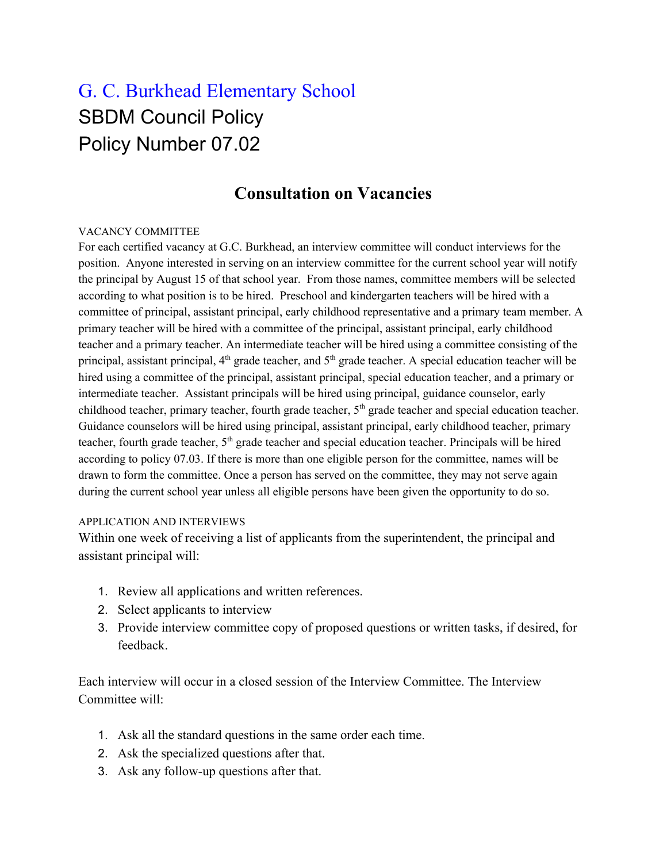# G. C. Burkhead Elementary School SBDM Council Policy Policy Number 07.02

## **Consultation on Vacancies**

#### VACANCY COMMITTEE

For each certified vacancy at G.C. Burkhead, an interview committee will conduct interviews for the position. Anyone interested in serving on an interview committee for the current school year will notify the principal by August 15 of that school year. From those names, committee members will be selected according to what position is to be hired. Preschool and kindergarten teachers will be hired with a committee of principal, assistant principal, early childhood representative and a primary team member. A primary teacher will be hired with a committee of the principal, assistant principal, early childhood teacher and a primary teacher. An intermediate teacher will be hired using a committee consisting of the principal, assistant principal, 4<sup>th</sup> grade teacher, and 5<sup>th</sup> grade teacher. A special education teacher will be hired using a committee of the principal, assistant principal, special education teacher, and a primary or intermediate teacher. Assistant principals will be hired using principal, guidance counselor, early childhood teacher, primary teacher, fourth grade teacher, 5<sup>th</sup> grade teacher and special education teacher. Guidance counselors will be hired using principal, assistant principal, early childhood teacher, primary teacher, fourth grade teacher, 5<sup>th</sup> grade teacher and special education teacher. Principals will be hired according to policy 07.03. If there is more than one eligible person for the committee, names will be drawn to form the committee. Once a person has served on the committee, they may not serve again during the current school year unless all eligible persons have been given the opportunity to do so.

#### APPLICATION AND INTERVIEWS

Within one week of receiving a list of applicants from the superintendent, the principal and assistant principal will:

- 1. Review all applications and written references.
- 2. Select applicants to interview
- 3. Provide interview committee copy of proposed questions or written tasks, if desired, for feedback.

Each interview will occur in a closed session of the Interview Committee. The Interview Committee will:

- 1. Ask all the standard questions in the same order each time.
- 2. Ask the specialized questions after that.
- 3. Ask any follow-up questions after that.